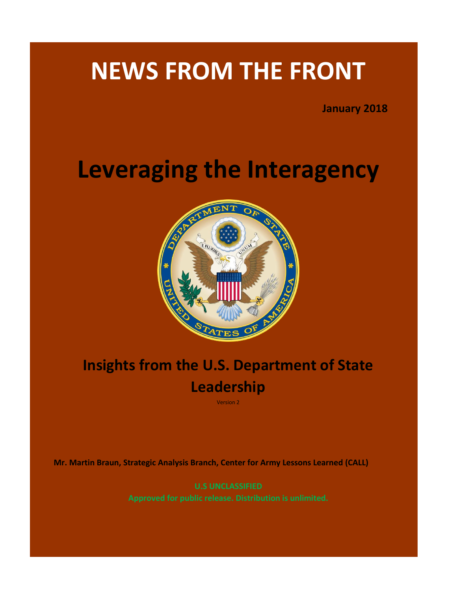# **NEWS FROM THE FRONT**

**January 2018** 

# **Leveraging the Interagency**



# **Insights from the U.S. Department of State Leadership**

Version 2

**Mr. Martin Braun, Strategic Analysis Branch, Center for Army Lessons Learned (CALL)** 

**U.S UNCLASSIFIED**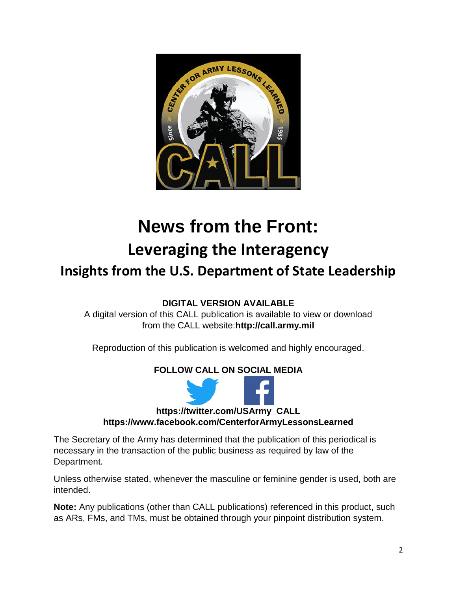

# **News from the Front: Leveraging the Interagency**

# **Insights from the U.S. Department of State Leadership**

# **DIGITAL VERSION AVAILABLE**

A digital version of this CALL publication is available to view or download from the CALL website:**http://call.army.mil**

Reproduction of this publication is welcomed and highly encouraged.

# **FOLLOW CALL ON SOCIAL MEDIA**



**https://twitter.com/USArmy\_CALL** 

**https://www.facebook.com/CenterforArmyLessonsLearned** 

The Secretary of the Army has determined that the publication of this periodical is necessary in the transaction of the public business as required by law of the Department.

Unless otherwise stated, whenever the masculine or feminine gender is used, both are intended.

**Note:** Any publications (other than CALL publications) referenced in this product, such as ARs, FMs, and TMs, must be obtained through your pinpoint distribution system.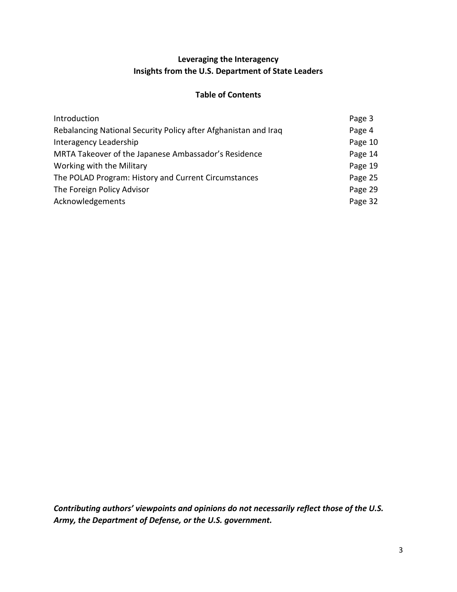# **Leveraging the Interagency Insights from the U.S. Department of State Leaders**

#### **Table of Contents**

| Introduction                                                    | Page 3  |
|-----------------------------------------------------------------|---------|
| Rebalancing National Security Policy after Afghanistan and Iraq | Page 4  |
| Interagency Leadership                                          | Page 10 |
| MRTA Takeover of the Japanese Ambassador's Residence            | Page 14 |
| Working with the Military                                       | Page 19 |
| The POLAD Program: History and Current Circumstances            | Page 25 |
| The Foreign Policy Advisor                                      | Page 29 |
| Acknowledgements                                                | Page 32 |

*Contributing authors' viewpoints and opinions do not necessarily reflect those of the U.S. Army, the Department of Defense, or the U.S. government.*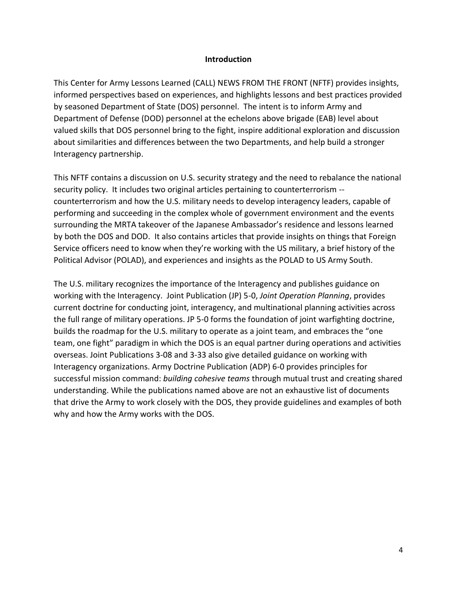#### **Introduction**

This Center for Army Lessons Learned (CALL) NEWS FROM THE FRONT (NFTF) provides insights, informed perspectives based on experiences, and highlights lessons and best practices provided by seasoned Department of State (DOS) personnel. The intent is to inform Army and Department of Defense (DOD) personnel at the echelons above brigade (EAB) level about valued skills that DOS personnel bring to the fight, inspire additional exploration and discussion about similarities and differences between the two Departments, and help build a stronger Interagency partnership.

This NFTF contains a discussion on U.S. security strategy and the need to rebalance the national security policy. It includes two original articles pertaining to counterterrorism - counterterrorism and how the U.S. military needs to develop interagency leaders, capable of performing and succeeding in the complex whole of government environment and the events surrounding the MRTA takeover of the Japanese Ambassador's residence and lessons learned by both the DOS and DOD. It also contains articles that provide insights on things that Foreign Service officers need to know when they're working with the US military, a brief history of the Political Advisor (POLAD), and experiences and insights as the POLAD to US Army South.

The U.S. military recognizes the importance of the Interagency and publishes guidance on working with the Interagency. Joint Publication (JP) 5-0, *Joint Operation Planning*, provides current doctrine for conducting joint, interagency, and multinational planning activities across the full range of military operations. JP 5-0 forms the foundation of joint warfighting doctrine, builds the roadmap for the U.S. military to operate as a joint team, and embraces the "one team, one fight" paradigm in which the DOS is an equal partner during operations and activities overseas. Joint Publications 3-08 and 3-33 also give detailed guidance on working with Interagency organizations. Army Doctrine Publication (ADP) 6-0 provides principles for successful mission command: *building cohesive teams* through mutual trust and creating shared understanding. While the publications named above are not an exhaustive list of documents that drive the Army to work closely with the DOS, they provide guidelines and examples of both why and how the Army works with the DOS.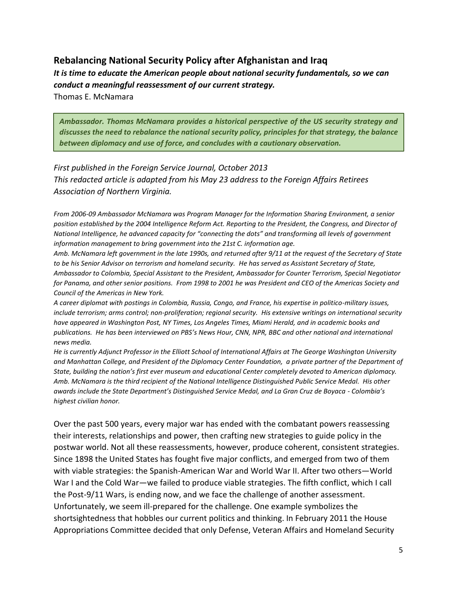# **Rebalancing National Security Policy after Afghanistan and Iraq**

*It is time to educate the American people about national security fundamentals, so we can conduct a meaningful reassessment of our current strategy.* 

Thomas E. McNamara

*Ambassador. Thomas McNamara provides a historical perspective of the US security strategy and discusses the need to rebalance the national security policy, principles for that strategy, the balance between diplomacy and use of force, and concludes with a cautionary observation.*

*First published in the Foreign Service Journal, October 2013 This redacted article is adapted from his May 23 address to the Foreign Affairs Retirees Association of Northern Virginia.* 

*From 2006-09 Ambassador McNamara was Program Manager for the Information Sharing Environment, a senior position established by the 2004 Intelligence Reform Act. Reporting to the President, the Congress, and Director of National Intelligence, he advanced capacity for "connecting the dots" and transforming all levels of government information management to bring government into the 21st C. information age.* 

*Amb. McNamara left government in the late 1990s, and returned after 9/11 at the request of the Secretary of State to be his Senior Advisor on terrorism and homeland security. He has served as Assistant Secretary of State, Ambassador to Colombia, Special Assistant to the President, Ambassador for Counter Terrorism, Special Negotiator*  for Panama, and other senior positions. From 1998 to 2001 he was President and CEO of the Americas Society and *Council of the Americas in New York.* 

*A career diplomat with postings in Colombia, Russia, Congo, and France, his expertise in politico-military issues, include terrorism; arms control; non-proliferation; regional security. His extensive writings on international security have appeared in Washington Post, NY Times, Los Angeles Times, Miami Herald, and in academic books and publications. He has been interviewed on PBS's News Hour, CNN, NPR, BBC and other national and international news media.* 

*He is currently Adjunct Professor in the Elliott School of International Affairs at The George Washington University and Manhattan College, and President of the Diplomacy Center Foundation, a private partner of the Department of State, building the nation's first ever museum and educational Center completely devoted to American diplomacy. Amb. McNamara is the third recipient of the National Intelligence Distinguished Public Service Medal. His other awards include the State Department's Distinguished Service Medal, and La Gran Cruz de Boyaca - Colombia's highest civilian honor.* 

Over the past 500 years, every major war has ended with the combatant powers reassessing their interests, relationships and power, then crafting new strategies to guide policy in the postwar world. Not all these reassessments, however, produce coherent, consistent strategies. Since 1898 the United States has fought five major conflicts, and emerged from two of them with viable strategies: the Spanish-American War and World War II. After two others—World War I and the Cold War—we failed to produce viable strategies. The fifth conflict, which I call the Post-9/11 Wars, is ending now, and we face the challenge of another assessment. Unfortunately, we seem ill-prepared for the challenge. One example symbolizes the shortsightedness that hobbles our current politics and thinking. In February 2011 the House Appropriations Committee decided that only Defense, Veteran Affairs and Homeland Security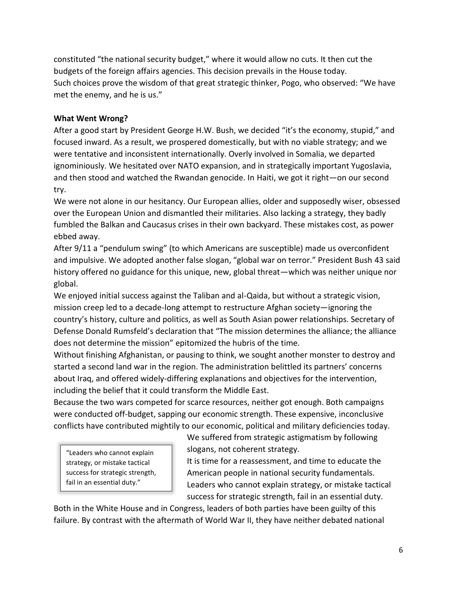constituted "the national security budget," where it would allow no cuts. It then cut the budgets of the foreign affairs agencies. This decision prevails in the House today. Such choices prove the wisdom of that great strategic thinker, Pogo, who observed: "We have met the enemy, and he is us."

# **What Went Wrong?**

After a good start by President George H.W. Bush, we decided "it's the economy, stupid," and focused inward. As a result, we prospered domestically, but with no viable strategy; and we were tentative and inconsistent internationally. Overly involved in Somalia, we departed ignominiously. We hesitated over NATO expansion, and in strategically important Yugoslavia, and then stood and watched the Rwandan genocide. In Haiti, we got it right—on our second try.

We were not alone in our hesitancy. Our European allies, older and supposedly wiser, obsessed over the European Union and dismantled their militaries. Also lacking a strategy, they badly fumbled the Balkan and Caucasus crises in their own backyard. These mistakes cost, as power ebbed away.

After 9/11 a "pendulum swing" (to which Americans are susceptible) made us overconfident and impulsive. We adopted another false slogan, "global war on terror." President Bush 43 said history offered no guidance for this unique, new, global threat—which was neither unique nor global.

We enjoyed initial success against the Taliban and al-Qaida, but without a strategic vision, mission creep led to a decade-long attempt to restructure Afghan society—ignoring the country's history, culture and politics, as well as South Asian power relationships. Secretary of Defense Donald Rumsfeld's declaration that "The mission determines the alliance; the alliance does not determine the mission" epitomized the hubris of the time.

Without finishing Afghanistan, or pausing to think, we sought another monster to destroy and started a second land war in the region. The administration belittled its partners' concerns about Iraq, and offered widely-differing explanations and objectives for the intervention, including the belief that it could transform the Middle East.

Because the two wars competed for scarce resources, neither got enough. Both campaigns were conducted off-budget, sapping our economic strength. These expensive, inconclusive conflicts have contributed mightily to our economic, political and military deficiencies today.

"Leaders who cannot explain strategy, or mistake tactical success for strategic strength, fail in an essential duty."

We suffered from strategic astigmatism by following slogans, not coherent strategy.

It is time for a reassessment, and time to educate the American people in national security fundamentals. Leaders who cannot explain strategy, or mistake tactical success for strategic strength, fail in an essential duty.

Both in the White House and in Congress, leaders of both parties have been guilty of this failure. By contrast with the aftermath of World War II, they have neither debated national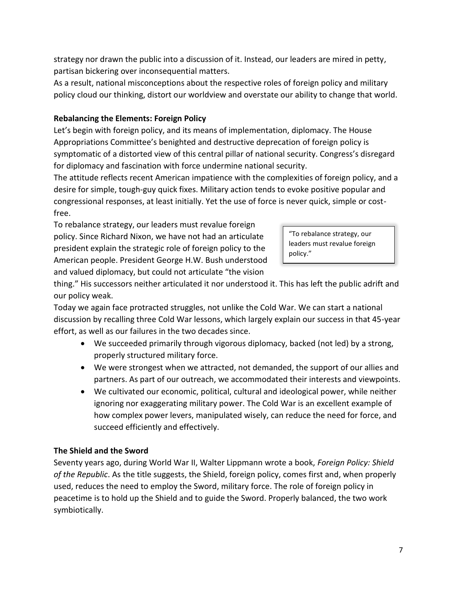strategy nor drawn the public into a discussion of it. Instead, our leaders are mired in petty, partisan bickering over inconsequential matters.

As a result, national misconceptions about the respective roles of foreign policy and military policy cloud our thinking, distort our worldview and overstate our ability to change that world.

## **Rebalancing the Elements: Foreign Policy**

Let's begin with foreign policy, and its means of implementation, diplomacy. The House Appropriations Committee's benighted and destructive deprecation of foreign policy is symptomatic of a distorted view of this central pillar of national security. Congress's disregard for diplomacy and fascination with force undermine national security.

The attitude reflects recent American impatience with the complexities of foreign policy, and a desire for simple, tough-guy quick fixes. Military action tends to evoke positive popular and congressional responses, at least initially. Yet the use of force is never quick, simple or costfree.

To rebalance strategy, our leaders must revalue foreign policy. Since Richard Nixon, we have not had an articulate president explain the strategic role of foreign policy to the American people. President George H.W. Bush understood and valued diplomacy, but could not articulate "the vision

"To rebalance strategy, our leaders must revalue foreign policy."

thing." His successors neither articulated it nor understood it. This has left the public adrift and our policy weak.

Today we again face protracted struggles, not unlike the Cold War. We can start a national discussion by recalling three Cold War lessons, which largely explain our success in that 45-year effort, as well as our failures in the two decades since.

- We succeeded primarily through vigorous diplomacy, backed (not led) by a strong, properly structured military force.
- We were strongest when we attracted, not demanded, the support of our allies and partners. As part of our outreach, we accommodated their interests and viewpoints.
- We cultivated our economic, political, cultural and ideological power, while neither ignoring nor exaggerating military power. The Cold War is an excellent example of how complex power levers, manipulated wisely, can reduce the need for force, and succeed efficiently and effectively.

# **The Shield and the Sword**

Seventy years ago, during World War II, Walter Lippmann wrote a book, *Foreign Policy: Shield of the Republic*. As the title suggests, the Shield, foreign policy, comes first and, when properly used, reduces the need to employ the Sword, military force. The role of foreign policy in peacetime is to hold up the Shield and to guide the Sword. Properly balanced, the two work symbiotically.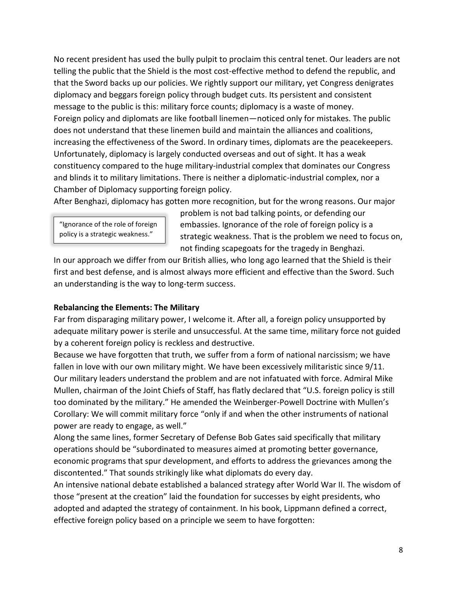No recent president has used the bully pulpit to proclaim this central tenet. Our leaders are not telling the public that the Shield is the most cost-effective method to defend the republic, and that the Sword backs up our policies. We rightly support our military, yet Congress denigrates diplomacy and beggars foreign policy through budget cuts. Its persistent and consistent message to the public is this: military force counts; diplomacy is a waste of money. Foreign policy and diplomats are like football linemen—noticed only for mistakes. The public does not understand that these linemen build and maintain the alliances and coalitions, increasing the effectiveness of the Sword. In ordinary times, diplomats are the peacekeepers. Unfortunately, diplomacy is largely conducted overseas and out of sight. It has a weak constituency compared to the huge military-industrial complex that dominates our Congress and blinds it to military limitations. There is neither a diplomatic-industrial complex, nor a Chamber of Diplomacy supporting foreign policy.

After Benghazi, diplomacy has gotten more recognition, but for the wrong reasons. Our major

"Ignorance of the role of foreign policy is a strategic weakness."

problem is not bad talking points, or defending our embassies. Ignorance of the role of foreign policy is a strategic weakness. That is the problem we need to focus on, not finding scapegoats for the tragedy in Benghazi.

In our approach we differ from our British allies, who long ago learned that the Shield is their first and best defense, and is almost always more efficient and effective than the Sword. Such an understanding is the way to long-term success.

## **Rebalancing the Elements: The Military**

Far from disparaging military power, I welcome it. After all, a foreign policy unsupported by adequate military power is sterile and unsuccessful. At the same time, military force not guided by a coherent foreign policy is reckless and destructive.

Because we have forgotten that truth, we suffer from a form of national narcissism; we have fallen in love with our own military might. We have been excessively militaristic since 9/11. Our military leaders understand the problem and are not infatuated with force. Admiral Mike Mullen, chairman of the Joint Chiefs of Staff, has flatly declared that "U.S. foreign policy is still too dominated by the military." He amended the Weinberger-Powell Doctrine with Mullen's Corollary: We will commit military force "only if and when the other instruments of national power are ready to engage, as well."

Along the same lines, former Secretary of Defense Bob Gates said specifically that military operations should be "subordinated to measures aimed at promoting better governance, economic programs that spur development, and efforts to address the grievances among the discontented." That sounds strikingly like what diplomats do every day.

An intensive national debate established a balanced strategy after World War II. The wisdom of those "present at the creation" laid the foundation for successes by eight presidents, who adopted and adapted the strategy of containment. In his book, Lippmann defined a correct, effective foreign policy based on a principle we seem to have forgotten: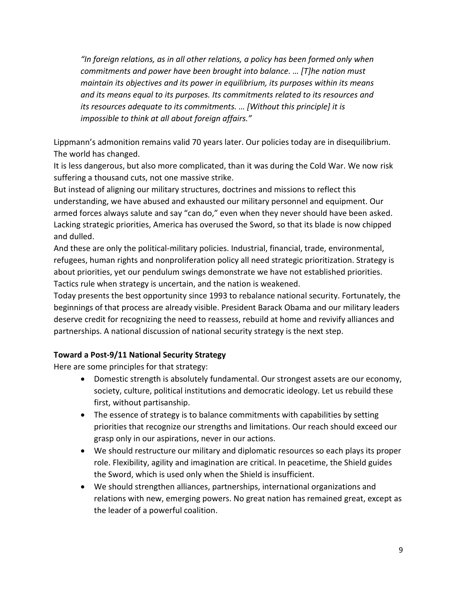*"In foreign relations, as in all other relations, a policy has been formed only when commitments and power have been brought into balance. … [T]he nation must maintain its objectives and its power in equilibrium, its purposes within its means and its means equal to its purposes. Its commitments related to its resources and its resources adequate to its commitments. … [Without this principle] it is impossible to think at all about foreign affairs."*

Lippmann's admonition remains valid 70 years later. Our policies today are in disequilibrium. The world has changed.

It is less dangerous, but also more complicated, than it was during the Cold War. We now risk suffering a thousand cuts, not one massive strike.

But instead of aligning our military structures, doctrines and missions to reflect this understanding, we have abused and exhausted our military personnel and equipment. Our armed forces always salute and say "can do," even when they never should have been asked. Lacking strategic priorities, America has overused the Sword, so that its blade is now chipped and dulled.

And these are only the political-military policies. Industrial, financial, trade, environmental, refugees, human rights and nonproliferation policy all need strategic prioritization. Strategy is about priorities, yet our pendulum swings demonstrate we have not established priorities. Tactics rule when strategy is uncertain, and the nation is weakened.

Today presents the best opportunity since 1993 to rebalance national security. Fortunately, the beginnings of that process are already visible. President Barack Obama and our military leaders deserve credit for recognizing the need to reassess, rebuild at home and revivify alliances and partnerships. A national discussion of national security strategy is the next step.

## **Toward a Post-9/11 National Security Strategy**

Here are some principles for that strategy:

- Domestic strength is absolutely fundamental. Our strongest assets are our economy, society, culture, political institutions and democratic ideology. Let us rebuild these first, without partisanship.
- The essence of strategy is to balance commitments with capabilities by setting priorities that recognize our strengths and limitations. Our reach should exceed our grasp only in our aspirations, never in our actions.
- We should restructure our military and diplomatic resources so each plays its proper role. Flexibility, agility and imagination are critical. In peacetime, the Shield guides the Sword, which is used only when the Shield is insufficient.
- We should strengthen alliances, partnerships, international organizations and relations with new, emerging powers. No great nation has remained great, except as the leader of a powerful coalition.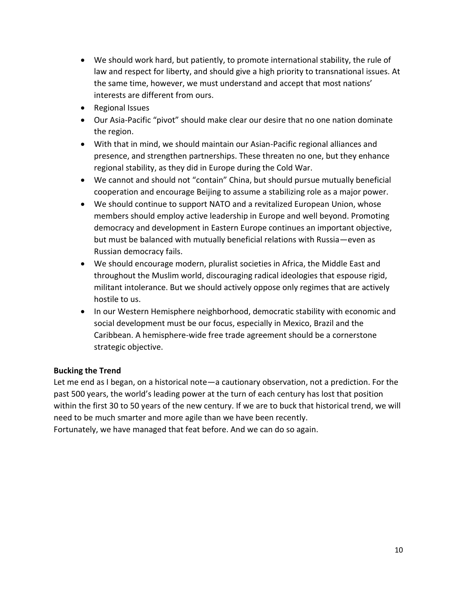- We should work hard, but patiently, to promote international stability, the rule of law and respect for liberty, and should give a high priority to transnational issues. At the same time, however, we must understand and accept that most nations' interests are different from ours.
- Regional Issues
- Our Asia-Pacific "pivot" should make clear our desire that no one nation dominate the region.
- With that in mind, we should maintain our Asian-Pacific regional alliances and presence, and strengthen partnerships. These threaten no one, but they enhance regional stability, as they did in Europe during the Cold War.
- We cannot and should not "contain" China, but should pursue mutually beneficial cooperation and encourage Beijing to assume a stabilizing role as a major power.
- We should continue to support NATO and a revitalized European Union, whose members should employ active leadership in Europe and well beyond. Promoting democracy and development in Eastern Europe continues an important objective, but must be balanced with mutually beneficial relations with Russia—even as Russian democracy fails.
- We should encourage modern, pluralist societies in Africa, the Middle East and throughout the Muslim world, discouraging radical ideologies that espouse rigid, militant intolerance. But we should actively oppose only regimes that are actively hostile to us.
- In our Western Hemisphere neighborhood, democratic stability with economic and social development must be our focus, especially in Mexico, Brazil and the Caribbean. A hemisphere-wide free trade agreement should be a cornerstone strategic objective.

## **Bucking the Trend**

Let me end as I began, on a historical note—a cautionary observation, not a prediction. For the past 500 years, the world's leading power at the turn of each century has lost that position within the first 30 to 50 years of the new century. If we are to buck that historical trend, we will need to be much smarter and more agile than we have been recently.

Fortunately, we have managed that feat before. And we can do so again.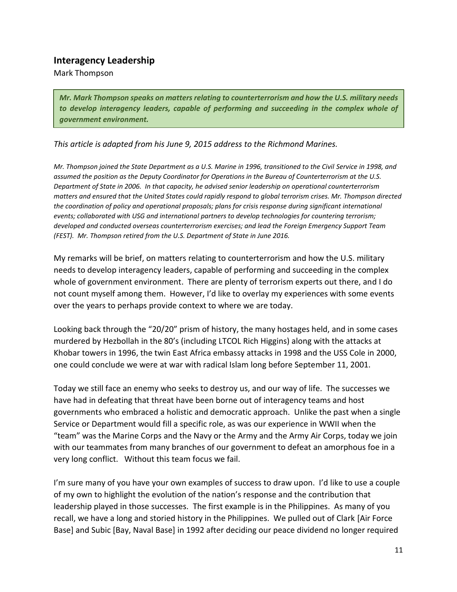# **Interagency Leadership**

Mark Thompson

*Mr. Mark Thompson speaks on matters relating to counterterrorism and how the U.S. military needs to develop interagency leaders, capable of performing and succeeding in the complex whole of government environment.*

*This article is adapted from his June 9, 2015 address to the Richmond Marines.*

*Mr. Thompson joined the State Department as a U.S. Marine in 1996, transitioned to the Civil Service in 1998, and assumed the position as the Deputy Coordinator for Operations in the Bureau of Counterterrorism at the U.S. Department of State in 2006. In that capacity, he advised senior leadership on operational counterterrorism matters and ensured that the United States could rapidly respond to global terrorism crises. Mr. Thompson directed the coordination of policy and operational proposals; plans for crisis response during significant international events; collaborated with USG and international partners to develop technologies for countering terrorism; developed and conducted overseas counterterrorism exercises; and lead the Foreign Emergency Support Team (FEST). Mr. Thompson retired from the U.S. Department of State in June 2016.*

My remarks will be brief, on matters relating to counterterrorism and how the U.S. military needs to develop interagency leaders, capable of performing and succeeding in the complex whole of government environment. There are plenty of terrorism experts out there, and I do not count myself among them. However, I'd like to overlay my experiences with some events over the years to perhaps provide context to where we are today.

Looking back through the "20/20" prism of history, the many hostages held, and in some cases murdered by Hezbollah in the 80's (including LTCOL Rich Higgins) along with the attacks at Khobar towers in 1996, the twin East Africa embassy attacks in 1998 and the USS Cole in 2000, one could conclude we were at war with radical Islam long before September 11, 2001.

Today we still face an enemy who seeks to destroy us, and our way of life. The successes we have had in defeating that threat have been borne out of interagency teams and host governments who embraced a holistic and democratic approach. Unlike the past when a single Service or Department would fill a specific role, as was our experience in WWII when the "team" was the Marine Corps and the Navy or the Army and the Army Air Corps, today we join with our teammates from many branches of our government to defeat an amorphous foe in a very long conflict. Without this team focus we fail.

I'm sure many of you have your own examples of success to draw upon. I'd like to use a couple of my own to highlight the evolution of the nation's response and the contribution that leadership played in those successes. The first example is in the Philippines. As many of you recall, we have a long and storied history in the Philippines. We pulled out of Clark [Air Force Base] and Subic [Bay, Naval Base] in 1992 after deciding our peace dividend no longer required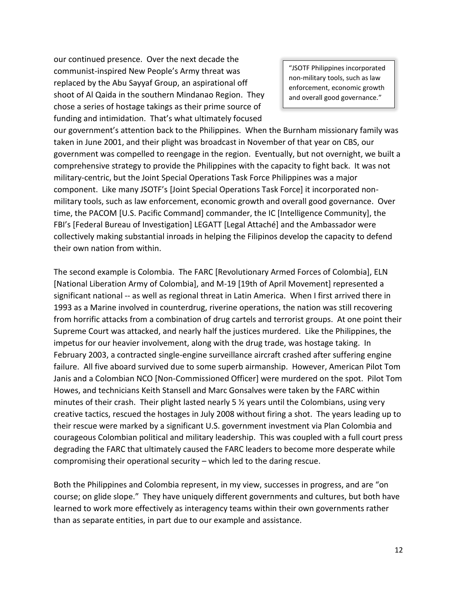our continued presence. Over the next decade the communist-inspired New People's Army threat was replaced by the Abu Sayyaf Group, an aspirational off shoot of Al Qaida in the southern Mindanao Region. They chose a series of hostage takings as their prime source of funding and intimidation. That's what ultimately focused

"JSOTF Philippines incorporated non-military tools, such as law enforcement, economic growth and overall good governance."

our government's attention back to the Philippines. When the Burnham missionary family was taken in June 2001, and their plight was broadcast in November of that year on CBS, our government was compelled to reengage in the region. Eventually, but not overnight, we built a comprehensive strategy to provide the Philippines with the capacity to fight back. It was not military-centric, but the Joint Special Operations Task Force Philippines was a major component. Like many JSOTF's [Joint Special Operations Task Force] it incorporated nonmilitary tools, such as law enforcement, economic growth and overall good governance. Over time, the PACOM [U.S. Pacific Command] commander, the IC [Intelligence Community], the FBI's [Federal Bureau of Investigation] LEGATT [Legal Attaché] and the Ambassador were collectively making substantial inroads in helping the Filipinos develop the capacity to defend their own nation from within.

The second example is Colombia. The FARC [Revolutionary Armed Forces of Colombia], ELN [National Liberation Army of Colombia], and M-19 [19th of April Movement] represented a significant national -- as well as regional threat in Latin America. When I first arrived there in 1993 as a Marine involved in counterdrug, riverine operations, the nation was still recovering from horrific attacks from a combination of drug cartels and terrorist groups. At one point their Supreme Court was attacked, and nearly half the justices murdered. Like the Philippines, the impetus for our heavier involvement, along with the drug trade, was hostage taking. In February 2003, a contracted single-engine surveillance aircraft crashed after suffering engine failure. All five aboard survived due to some superb airmanship. However, American Pilot Tom Janis and a Colombian NCO [Non-Commissioned Officer] were murdered on the spot. Pilot Tom Howes, and technicians Keith Stansell and Marc Gonsalves were taken by the FARC within minutes of their crash. Their plight lasted nearly 5  $\frac{1}{2}$  years until the Colombians, using very creative tactics, rescued the hostages in July 2008 without firing a shot. The years leading up to their rescue were marked by a significant U.S. government investment via Plan Colombia and courageous Colombian political and military leadership. This was coupled with a full court press degrading the FARC that ultimately caused the FARC leaders to become more desperate while compromising their operational security – which led to the daring rescue.

Both the Philippines and Colombia represent, in my view, successes in progress, and are "on course; on glide slope." They have uniquely different governments and cultures, but both have learned to work more effectively as interagency teams within their own governments rather than as separate entities, in part due to our example and assistance.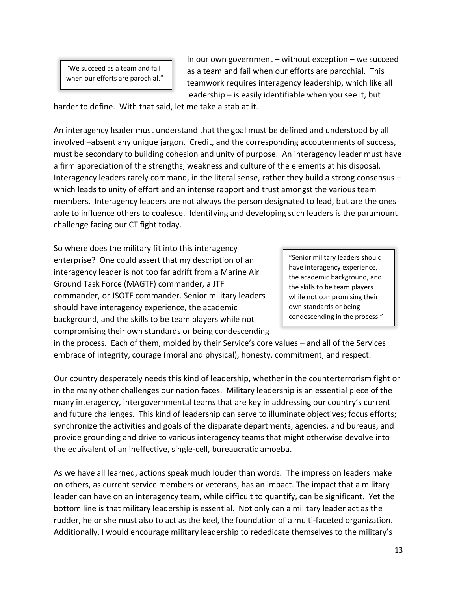"We succeed as a team and fail when our efforts are parochial." In our own government – without exception – we succeed as a team and fail when our efforts are parochial. This teamwork requires interagency leadership, which like all leadership – is easily identifiable when you see it, but

harder to define. With that said, let me take a stab at it.

An interagency leader must understand that the goal must be defined and understood by all involved –absent any unique jargon. Credit, and the corresponding accouterments of success, must be secondary to building cohesion and unity of purpose. An interagency leader must have a firm appreciation of the strengths, weakness and culture of the elements at his disposal. Interagency leaders rarely command, in the literal sense, rather they build a strong consensus – which leads to unity of effort and an intense rapport and trust amongst the various team members. Interagency leaders are not always the person designated to lead, but are the ones able to influence others to coalesce. Identifying and developing such leaders is the paramount challenge facing our CT fight today.

So where does the military fit into this interagency enterprise? One could assert that my description of an interagency leader is not too far adrift from a Marine Air Ground Task Force (MAGTF) commander, a JTF commander, or JSOTF commander. Senior military leaders should have interagency experience, the academic background, and the skills to be team players while not compromising their own standards or being condescending

"Senior military leaders should have interagency experience, the academic background, and the skills to be team players while not compromising their own standards or being condescending in the process."

in the process. Each of them, molded by their Service's core values – and all of the Services embrace of integrity, courage (moral and physical), honesty, commitment, and respect.

Our country desperately needs this kind of leadership, whether in the counterterrorism fight or in the many other challenges our nation faces. Military leadership is an essential piece of the many interagency, intergovernmental teams that are key in addressing our country's current and future challenges. This kind of leadership can serve to illuminate objectives; focus efforts; synchronize the activities and goals of the disparate departments, agencies, and bureaus; and provide grounding and drive to various interagency teams that might otherwise devolve into the equivalent of an ineffective, single-cell, bureaucratic amoeba.

As we have all learned, actions speak much louder than words. The impression leaders make on others, as current service members or veterans, has an impact. The impact that a military leader can have on an interagency team, while difficult to quantify, can be significant. Yet the bottom line is that military leadership is essential. Not only can a military leader act as the rudder, he or she must also to act as the keel, the foundation of a multi-faceted organization. Additionally, I would encourage military leadership to rededicate themselves to the military's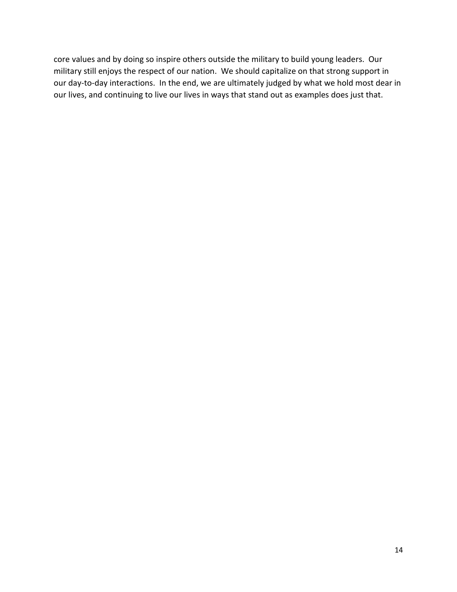core values and by doing so inspire others outside the military to build young leaders. Our military still enjoys the respect of our nation. We should capitalize on that strong support in our day-to-day interactions. In the end, we are ultimately judged by what we hold most dear in our lives, and continuing to live our lives in ways that stand out as examples does just that.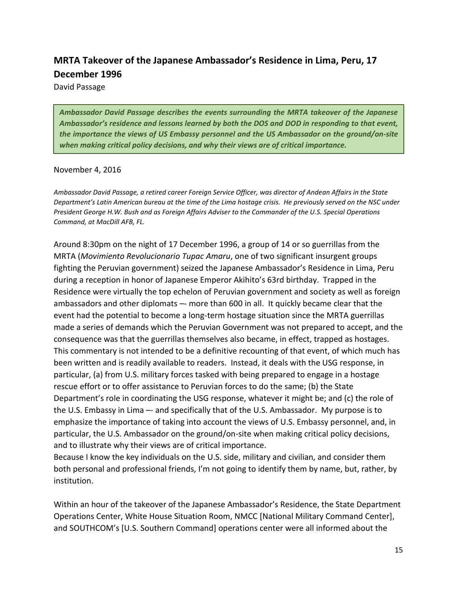# **MRTA Takeover of the Japanese Ambassador's Residence in Lima, Peru, 17 December 1996**

David Passage

*Ambassador David Passage describes the events surrounding the MRTA takeover of the Japanese Ambassador's residence and lessons learned by both the DOS and DOD in responding to that event, the importance the views of US Embassy personnel and the US Ambassador on the ground/on-site when making critical policy decisions, and why their views are of critical importance.*

#### November 4, 2016

*Ambassador David Passage, a retired career Foreign Service Officer, was director of Andean Affairs in the State Department's Latin American bureau at the time of the Lima hostage crisis. He previously served on the NSC under President George H.W. Bush and as Foreign Affairs Adviser to the Commander of the U.S. Special Operations Command, at MacDill AFB, FL.*

Around 8:30pm on the night of 17 December 1996, a group of 14 or so guerrillas from the MRTA (*Movimiento Revolucionario Tupac Amaru*, one of two significant insurgent groups fighting the Peruvian government) seized the Japanese Ambassador's Residence in Lima, Peru during a reception in honor of Japanese Emperor Akihito's 63rd birthday. Trapped in the Residence were virtually the top echelon of Peruvian government and society as well as foreign ambassadors and other diplomats - more than 600 in all. It quickly became clear that the event had the potential to become a long-term hostage situation since the MRTA guerrillas made a series of demands which the Peruvian Government was not prepared to accept, and the consequence was that the guerrillas themselves also became, in effect, trapped as hostages. This commentary is not intended to be a definitive recounting of that event, of which much has been written and is readily available to readers. Instead, it deals with the USG response, in particular, (a) from U.S. military forces tasked with being prepared to engage in a hostage rescue effort or to offer assistance to Peruvian forces to do the same; (b) the State Department's role in coordinating the USG response, whatever it might be; and (c) the role of the U.S. Embassy in Lima –- and specifically that of the U.S. Ambassador. My purpose is to emphasize the importance of taking into account the views of U.S. Embassy personnel, and, in particular, the U.S. Ambassador on the ground/on-site when making critical policy decisions, and to illustrate why their views are of critical importance.

Because I know the key individuals on the U.S. side, military and civilian, and consider them both personal and professional friends, I'm not going to identify them by name, but, rather, by institution.

Within an hour of the takeover of the Japanese Ambassador's Residence, the State Department Operations Center, White House Situation Room, NMCC [National Military Command Center], and SOUTHCOM's [U.S. Southern Command] operations center were all informed about the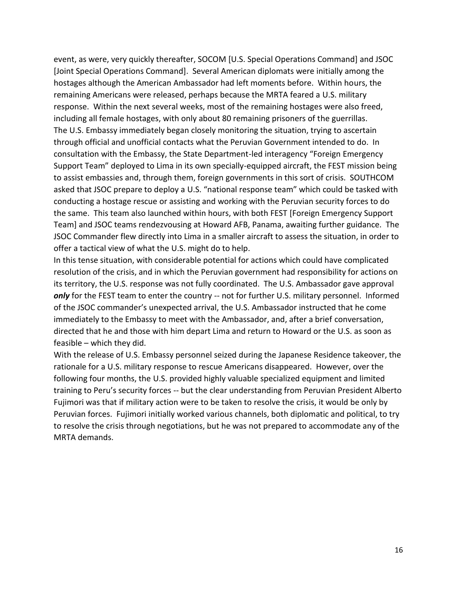event, as were, very quickly thereafter, SOCOM [U.S. Special Operations Command] and JSOC [Joint Special Operations Command]. Several American diplomats were initially among the hostages although the American Ambassador had left moments before. Within hours, the remaining Americans were released, perhaps because the MRTA feared a U.S. military response. Within the next several weeks, most of the remaining hostages were also freed, including all female hostages, with only about 80 remaining prisoners of the guerrillas. The U.S. Embassy immediately began closely monitoring the situation, trying to ascertain through official and unofficial contacts what the Peruvian Government intended to do. In consultation with the Embassy, the State Department-led interagency "Foreign Emergency Support Team" deployed to Lima in its own specially-equipped aircraft, the FEST mission being to assist embassies and, through them, foreign governments in this sort of crisis. SOUTHCOM asked that JSOC prepare to deploy a U.S. "national response team" which could be tasked with conducting a hostage rescue or assisting and working with the Peruvian security forces to do the same. This team also launched within hours, with both FEST [Foreign Emergency Support Team] and JSOC teams rendezvousing at Howard AFB, Panama, awaiting further guidance. The JSOC Commander flew directly into Lima in a smaller aircraft to assess the situation, in order to offer a tactical view of what the U.S. might do to help.

In this tense situation, with considerable potential for actions which could have complicated resolution of the crisis, and in which the Peruvian government had responsibility for actions on its territory, the U.S. response was not fully coordinated. The U.S. Ambassador gave approval only for the FEST team to enter the country -- not for further U.S. military personnel. Informed of the JSOC commander's unexpected arrival, the U.S. Ambassador instructed that he come immediately to the Embassy to meet with the Ambassador, and, after a brief conversation, directed that he and those with him depart Lima and return to Howard or the U.S. as soon as feasible – which they did.

With the release of U.S. Embassy personnel seized during the Japanese Residence takeover, the rationale for a U.S. military response to rescue Americans disappeared. However, over the following four months, the U.S. provided highly valuable specialized equipment and limited training to Peru's security forces -- but the clear understanding from Peruvian President Alberto Fujimori was that if military action were to be taken to resolve the crisis, it would be only by Peruvian forces. Fujimori initially worked various channels, both diplomatic and political, to try to resolve the crisis through negotiations, but he was not prepared to accommodate any of the MRTA demands.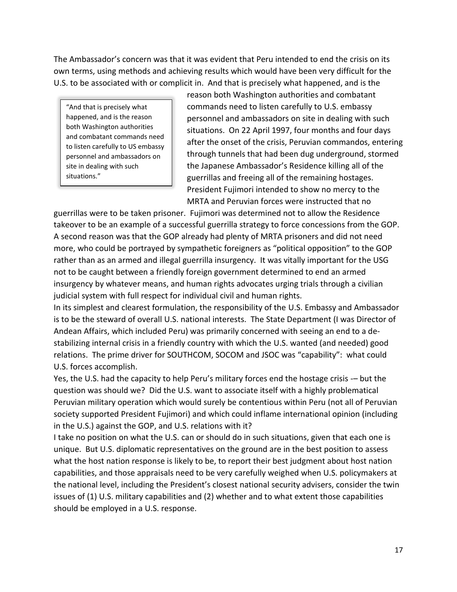The Ambassador's concern was that it was evident that Peru intended to end the crisis on its own terms, using methods and achieving results which would have been very difficult for the U.S. to be associated with or complicit in. And that is precisely what happened, and is the

"And that is precisely what happened, and is the reason both Washington authorities and combatant commands need to listen carefully to US embassy personnel and ambassadors on site in dealing with such situations."

reason both Washington authorities and combatant commands need to listen carefully to U.S. embassy personnel and ambassadors on site in dealing with such situations. On 22 April 1997, four months and four days after the onset of the crisis, Peruvian commandos, entering through tunnels that had been dug underground, stormed the Japanese Ambassador's Residence killing all of the guerrillas and freeing all of the remaining hostages. President Fujimori intended to show no mercy to the MRTA and Peruvian forces were instructed that no

guerrillas were to be taken prisoner. Fujimori was determined not to allow the Residence takeover to be an example of a successful guerrilla strategy to force concessions from the GOP. A second reason was that the GOP already had plenty of MRTA prisoners and did not need more, who could be portrayed by sympathetic foreigners as "political opposition" to the GOP rather than as an armed and illegal guerrilla insurgency. It was vitally important for the USG not to be caught between a friendly foreign government determined to end an armed insurgency by whatever means, and human rights advocates urging trials through a civilian judicial system with full respect for individual civil and human rights.

In its simplest and clearest formulation, the responsibility of the U.S. Embassy and Ambassador is to be the steward of overall U.S. national interests. The State Department (I was Director of Andean Affairs, which included Peru) was primarily concerned with seeing an end to a destabilizing internal crisis in a friendly country with which the U.S. wanted (and needed) good relations. The prime driver for SOUTHCOM, SOCOM and JSOC was "capability": what could U.S. forces accomplish.

Yes, the U.S. had the capacity to help Peru's military forces end the hostage crisis -– but the question was should we? Did the U.S. want to associate itself with a highly problematical Peruvian military operation which would surely be contentious within Peru (not all of Peruvian society supported President Fujimori) and which could inflame international opinion (including in the U.S.) against the GOP, and U.S. relations with it?

I take no position on what the U.S. can or should do in such situations, given that each one is unique. But U.S. diplomatic representatives on the ground are in the best position to assess what the host nation response is likely to be, to report their best judgment about host nation capabilities, and those appraisals need to be very carefully weighed when U.S. policymakers at the national level, including the President's closest national security advisers, consider the twin issues of (1) U.S. military capabilities and (2) whether and to what extent those capabilities should be employed in a U.S. response.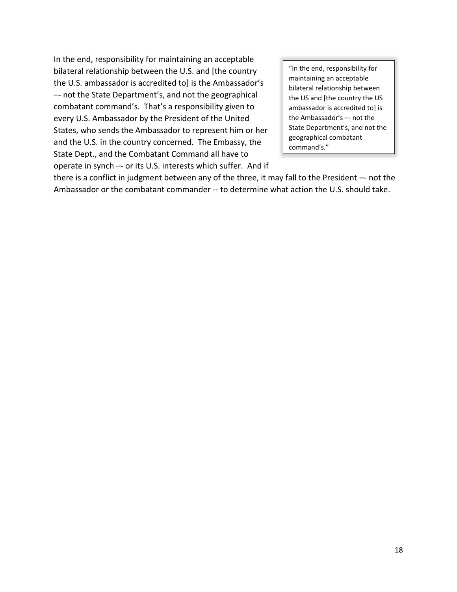In the end, responsibility for maintaining an acceptable bilateral relationship between the U.S. and [the country the U.S. ambassador is accredited to] is the Ambassador's –- not the State Department's, and not the geographical combatant command's. That's a responsibility given to every U.S. Ambassador by the President of the United States, who sends the Ambassador to represent him or her and the U.S. in the country concerned. The Embassy, the State Dept., and the Combatant Command all have to operate in synch –- or its U.S. interests which suffer. And if

"In the end, responsibility for maintaining an acceptable bilateral relationship between the US and [the country the US ambassador is accredited to] is the Ambassador's –- not the State Department's, and not the geographical combatant command's."

there is a conflict in judgment between any of the three, it may fall to the President –- not the Ambassador or the combatant commander -- to determine what action the U.S. should take.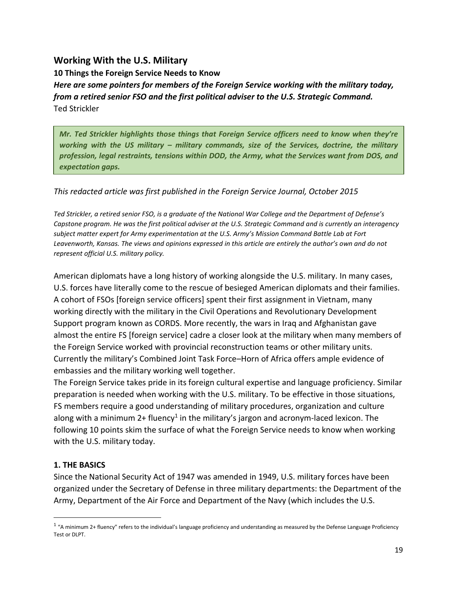# **Working With the U.S. Military**

**10 Things the Foreign Service Needs to Know** *Here are some pointers for members of the Foreign Service working with the military today, from a retired senior FSO and the first political adviser to the U.S. Strategic Command.* Ted Strickler

*Mr. Ted Strickler highlights those things that Foreign Service officers need to know when they're working with the US military – military commands, size of the Services, doctrine, the military profession, legal restraints, tensions within DOD, the Army, what the Services want from DOS, and expectation gaps.*

*This redacted article was first published in the Foreign Service Journal, October 2015*

*Ted Strickler, a retired senior FSO, is a graduate of the National War College and the Department of Defense's Capstone program. He was the first political adviser at the U.S. Strategic Command and is currently an interagency subject matter expert for Army experimentation at the U.S. Army's Mission Command Battle Lab at Fort Leavenworth, Kansas. The views and opinions expressed in this article are entirely the author's own and do not represent official U.S. military policy.*

American diplomats have a long history of working alongside the U.S. military. In many cases, U.S. forces have literally come to the rescue of besieged American diplomats and their families. A cohort of FSOs [foreign service officers] spent their first assignment in Vietnam, many working directly with the military in the Civil Operations and Revolutionary Development Support program known as CORDS. More recently, the wars in Iraq and Afghanistan gave almost the entire FS [foreign service] cadre a closer look at the military when many members of the Foreign Service worked with provincial reconstruction teams or other military units. Currently the military's Combined Joint Task Force–Horn of Africa offers ample evidence of embassies and the military working well together.

The Foreign Service takes pride in its foreign cultural expertise and language proficiency. Similar preparation is needed when working with the U.S. military. To be effective in those situations, FS members require a good understanding of military procedures, organization and culture along with a minimum 2+ fluency<sup>1</sup> in the military's jargon and acronym-laced lexicon. The following 10 points skim the surface of what the Foreign Service needs to know when working with the U.S. military today.

# **1. THE BASICS**

 $\overline{\phantom{a}}$ 

Since the National Security Act of 1947 was amended in 1949, U.S. military forces have been organized under the Secretary of Defense in three military departments: the Department of the Army, Department of the Air Force and Department of the Navy (which includes the U.S.

 $1$  "A minimum 2+ fluency" refers to the individual's language proficiency and understanding as measured by the Defense Language Proficiency Test or DLPT.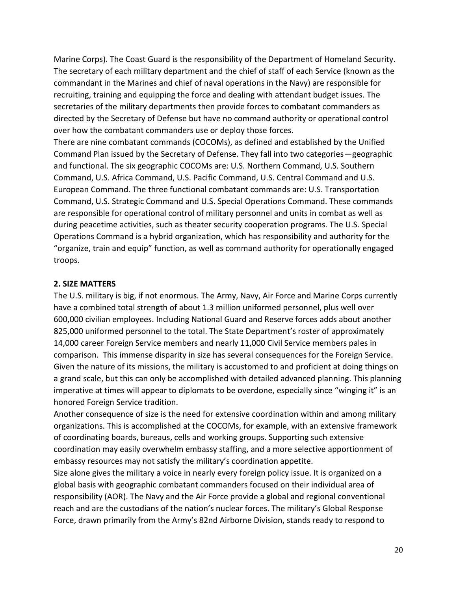Marine Corps). The Coast Guard is the responsibility of the Department of Homeland Security. The secretary of each military department and the chief of staff of each Service (known as the commandant in the Marines and chief of naval operations in the Navy) are responsible for recruiting, training and equipping the force and dealing with attendant budget issues. The secretaries of the military departments then provide forces to combatant commanders as directed by the Secretary of Defense but have no command authority or operational control over how the combatant commanders use or deploy those forces.

There are nine combatant commands (COCOMs), as defined and established by the Unified Command Plan issued by the Secretary of Defense. They fall into two categories—geographic and functional. The six geographic COCOMs are: U.S. Northern Command, U.S. Southern Command, U.S. Africa Command, U.S. Pacific Command, U.S. Central Command and U.S. European Command. The three functional combatant commands are: U.S. Transportation Command, U.S. Strategic Command and U.S. Special Operations Command. These commands are responsible for operational control of military personnel and units in combat as well as during peacetime activities, such as theater security cooperation programs. The U.S. Special Operations Command is a hybrid organization, which has responsibility and authority for the "organize, train and equip" function, as well as command authority for operationally engaged troops.

#### **2. SIZE MATTERS**

The U.S. military is big, if not enormous. The Army, Navy, Air Force and Marine Corps currently have a combined total strength of about 1.3 million uniformed personnel, plus well over 600,000 civilian employees. Including National Guard and Reserve forces adds about another 825,000 uniformed personnel to the total. The State Department's roster of approximately 14,000 career Foreign Service members and nearly 11,000 Civil Service members pales in comparison. This immense disparity in size has several consequences for the Foreign Service. Given the nature of its missions, the military is accustomed to and proficient at doing things on a grand scale, but this can only be accomplished with detailed advanced planning. This planning imperative at times will appear to diplomats to be overdone, especially since "winging it" is an honored Foreign Service tradition.

Another consequence of size is the need for extensive coordination within and among military organizations. This is accomplished at the COCOMs, for example, with an extensive framework of coordinating boards, bureaus, cells and working groups. Supporting such extensive coordination may easily overwhelm embassy staffing, and a more selective apportionment of embassy resources may not satisfy the military's coordination appetite.

Size alone gives the military a voice in nearly every foreign policy issue. It is organized on a global basis with geographic combatant commanders focused on their individual area of responsibility (AOR). The Navy and the Air Force provide a global and regional conventional reach and are the custodians of the nation's nuclear forces. The military's Global Response Force, drawn primarily from the Army's 82nd Airborne Division, stands ready to respond to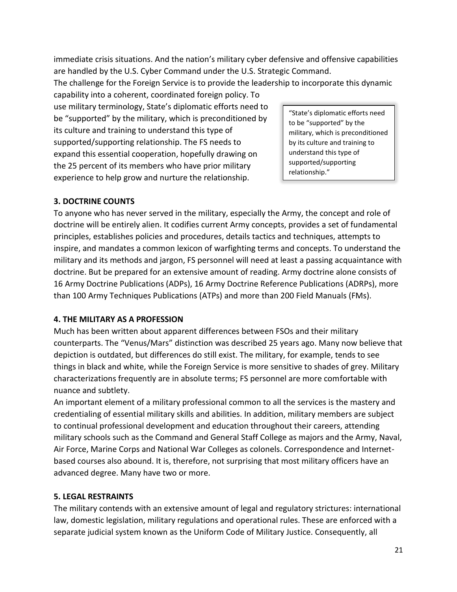immediate crisis situations. And the nation's military cyber defensive and offensive capabilities are handled by the U.S. Cyber Command under the U.S. Strategic Command.

The challenge for the Foreign Service is to provide the leadership to incorporate this dynamic capability into a coherent, coordinated foreign policy. To

use military terminology, State's diplomatic efforts need to be "supported" by the military, which is preconditioned by its culture and training to understand this type of supported/supporting relationship. The FS needs to expand this essential cooperation, hopefully drawing on the 25 percent of its members who have prior military experience to help grow and nurture the relationship.

"State's diplomatic efforts need to be "supported" by the military, which is preconditioned by its culture and training to understand this type of supported/supporting relationship."

# **3. DOCTRINE COUNTS**

To anyone who has never served in the military, especially the Army, the concept and role of doctrine will be entirely alien. It codifies current Army concepts, provides a set of fundamental principles, establishes policies and procedures, details tactics and techniques, attempts to inspire, and mandates a common lexicon of warfighting terms and concepts. To understand the military and its methods and jargon, FS personnel will need at least a passing acquaintance with doctrine. But be prepared for an extensive amount of reading. Army doctrine alone consists of 16 Army Doctrine Publications (ADPs), 16 Army Doctrine Reference Publications (ADRPs), more than 100 Army Techniques Publications (ATPs) and more than 200 Field Manuals (FMs).

## **4. THE MILITARY AS A PROFESSION**

Much has been written about apparent differences between FSOs and their military counterparts. The "Venus/Mars" distinction was described 25 years ago. Many now believe that depiction is outdated, but differences do still exist. The military, for example, tends to see things in black and white, while the Foreign Service is more sensitive to shades of grey. Military characterizations frequently are in absolute terms; FS personnel are more comfortable with nuance and subtlety.

An important element of a military professional common to all the services is the mastery and credentialing of essential military skills and abilities. In addition, military members are subject to continual professional development and education throughout their careers, attending military schools such as the Command and General Staff College as majors and the Army, Naval, Air Force, Marine Corps and National War Colleges as colonels. Correspondence and Internetbased courses also abound. It is, therefore, not surprising that most military officers have an advanced degree. Many have two or more.

# **5. LEGAL RESTRAINTS**

The military contends with an extensive amount of legal and regulatory strictures: international law, domestic legislation, military regulations and operational rules. These are enforced with a separate judicial system known as the Uniform Code of Military Justice. Consequently, all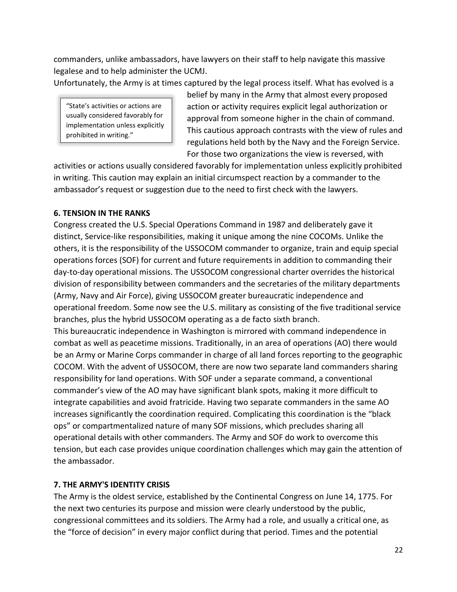commanders, unlike ambassadors, have lawyers on their staff to help navigate this massive legalese and to help administer the UCMJ.

Unfortunately, the Army is at times captured by the legal process itself. What has evolved is a

"State's activities or actions are usually considered favorably for implementation unless explicitly prohibited in writing."

belief by many in the Army that almost every proposed action or activity requires explicit legal authorization or approval from someone higher in the chain of command. This cautious approach contrasts with the view of rules and regulations held both by the Navy and the Foreign Service. For those two organizations the view is reversed, with

activities or actions usually considered favorably for implementation unless explicitly prohibited in writing. This caution may explain an initial circumspect reaction by a commander to the ambassador's request or suggestion due to the need to first check with the lawyers.

#### **6. TENSION IN THE RANKS**

Congress created the U.S. Special Operations Command in 1987 and deliberately gave it distinct, Service-like responsibilities, making it unique among the nine COCOMs. Unlike the others, it is the responsibility of the USSOCOM commander to organize, train and equip special operations forces (SOF) for current and future requirements in addition to commanding their day-to-day operational missions. The USSOCOM congressional charter overrides the historical division of responsibility between commanders and the secretaries of the military departments (Army, Navy and Air Force), giving USSOCOM greater bureaucratic independence and operational freedom. Some now see the U.S. military as consisting of the five traditional service branches, plus the hybrid USSOCOM operating as a de facto sixth branch.

This bureaucratic independence in Washington is mirrored with command independence in combat as well as peacetime missions. Traditionally, in an area of operations (AO) there would be an Army or Marine Corps commander in charge of all land forces reporting to the geographic COCOM. With the advent of USSOCOM, there are now two separate land commanders sharing responsibility for land operations. With SOF under a separate command, a conventional commander's view of the AO may have significant blank spots, making it more difficult to integrate capabilities and avoid fratricide. Having two separate commanders in the same AO increases significantly the coordination required. Complicating this coordination is the "black ops" or compartmentalized nature of many SOF missions, which precludes sharing all operational details with other commanders. The Army and SOF do work to overcome this tension, but each case provides unique coordination challenges which may gain the attention of the ambassador.

## **7. THE ARMY'S IDENTITY CRISIS**

The Army is the oldest service, established by the Continental Congress on June 14, 1775. For the next two centuries its purpose and mission were clearly understood by the public, congressional committees and its soldiers. The Army had a role, and usually a critical one, as the "force of decision" in every major conflict during that period. Times and the potential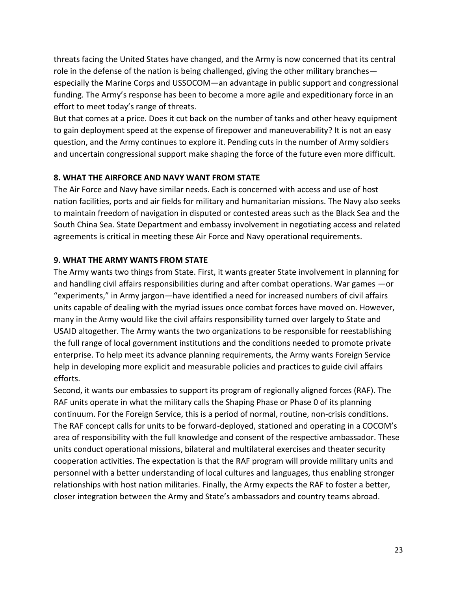threats facing the United States have changed, and the Army is now concerned that its central role in the defense of the nation is being challenged, giving the other military branches especially the Marine Corps and USSOCOM—an advantage in public support and congressional funding. The Army's response has been to become a more agile and expeditionary force in an effort to meet today's range of threats.

But that comes at a price. Does it cut back on the number of tanks and other heavy equipment to gain deployment speed at the expense of firepower and maneuverability? It is not an easy question, and the Army continues to explore it. Pending cuts in the number of Army soldiers and uncertain congressional support make shaping the force of the future even more difficult.

## **8. WHAT THE AIRFORCE AND NAVY WANT FROM STATE**

The Air Force and Navy have similar needs. Each is concerned with access and use of host nation facilities, ports and air fields for military and humanitarian missions. The Navy also seeks to maintain freedom of navigation in disputed or contested areas such as the Black Sea and the South China Sea. State Department and embassy involvement in negotiating access and related agreements is critical in meeting these Air Force and Navy operational requirements.

## **9. WHAT THE ARMY WANTS FROM STATE**

The Army wants two things from State. First, it wants greater State involvement in planning for and handling civil affairs responsibilities during and after combat operations. War games —or "experiments," in Army jargon—have identified a need for increased numbers of civil affairs units capable of dealing with the myriad issues once combat forces have moved on. However, many in the Army would like the civil affairs responsibility turned over largely to State and USAID altogether. The Army wants the two organizations to be responsible for reestablishing the full range of local government institutions and the conditions needed to promote private enterprise. To help meet its advance planning requirements, the Army wants Foreign Service help in developing more explicit and measurable policies and practices to guide civil affairs efforts.

Second, it wants our embassies to support its program of regionally aligned forces (RAF). The RAF units operate in what the military calls the Shaping Phase or Phase 0 of its planning continuum. For the Foreign Service, this is a period of normal, routine, non-crisis conditions. The RAF concept calls for units to be forward-deployed, stationed and operating in a COCOM's area of responsibility with the full knowledge and consent of the respective ambassador. These units conduct operational missions, bilateral and multilateral exercises and theater security cooperation activities. The expectation is that the RAF program will provide military units and personnel with a better understanding of local cultures and languages, thus enabling stronger relationships with host nation militaries. Finally, the Army expects the RAF to foster a better, closer integration between the Army and State's ambassadors and country teams abroad.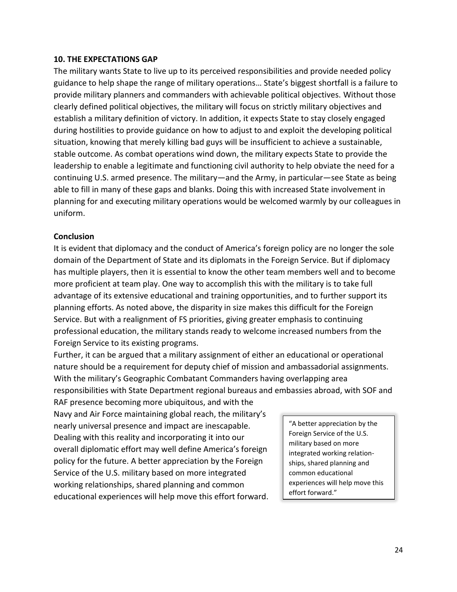#### **10. THE EXPECTATIONS GAP**

The military wants State to live up to its perceived responsibilities and provide needed policy guidance to help shape the range of military operations… State's biggest shortfall is a failure to provide military planners and commanders with achievable political objectives. Without those clearly defined political objectives, the military will focus on strictly military objectives and establish a military definition of victory. In addition, it expects State to stay closely engaged during hostilities to provide guidance on how to adjust to and exploit the developing political situation, knowing that merely killing bad guys will be insufficient to achieve a sustainable, stable outcome. As combat operations wind down, the military expects State to provide the leadership to enable a legitimate and functioning civil authority to help obviate the need for a continuing U.S. armed presence. The military—and the Army, in particular—see State as being able to fill in many of these gaps and blanks. Doing this with increased State involvement in planning for and executing military operations would be welcomed warmly by our colleagues in uniform.

#### **Conclusion**

It is evident that diplomacy and the conduct of America's foreign policy are no longer the sole domain of the Department of State and its diplomats in the Foreign Service. But if diplomacy has multiple players, then it is essential to know the other team members well and to become more proficient at team play. One way to accomplish this with the military is to take full advantage of its extensive educational and training opportunities, and to further support its planning efforts. As noted above, the disparity in size makes this difficult for the Foreign Service. But with a realignment of FS priorities, giving greater emphasis to continuing professional education, the military stands ready to welcome increased numbers from the Foreign Service to its existing programs.

Further, it can be argued that a military assignment of either an educational or operational nature should be a requirement for deputy chief of mission and ambassadorial assignments. With the military's Geographic Combatant Commanders having overlapping area responsibilities with State Department regional bureaus and embassies abroad, with SOF and

RAF presence becoming more ubiquitous, and with the Navy and Air Force maintaining global reach, the military's nearly universal presence and impact are inescapable. Dealing with this reality and incorporating it into our overall diplomatic effort may well define America's foreign policy for the future. A better appreciation by the Foreign Service of the U.S. military based on more integrated working relationships, shared planning and common educational experiences will help move this effort forward.

"A better appreciation by the Foreign Service of the U.S. military based on more integrated working relationships, shared planning and common educational experiences will help move this effort forward."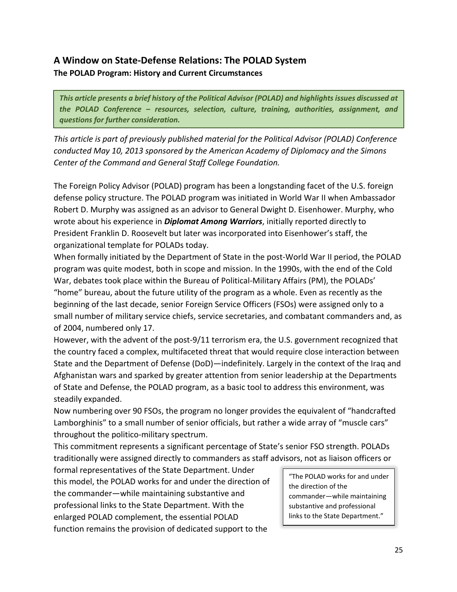# **A Window on State-Defense Relations: The POLAD System The POLAD Program: History and Current Circumstances**

*This article presents a brief history of the Political Advisor (POLAD) and highlights issues discussed at the POLAD Conference – resources, selection, culture, training, authorities, assignment, and questions for further consideration.*

*This article is part of previously published material for the Political Advisor (POLAD) Conference conducted May 10, 2013 sponsored by the American Academy of Diplomacy and the Simons Center of the Command and General Staff College Foundation.*

The Foreign Policy Advisor (POLAD) program has been a longstanding facet of the U.S. foreign defense policy structure. The POLAD program was initiated in World War II when Ambassador Robert D. Murphy was assigned as an advisor to General Dwight D. Eisenhower. Murphy, who wrote about his experience in *Diplomat Among Warriors*, initially reported directly to President Franklin D. Roosevelt but later was incorporated into Eisenhower's staff, the organizational template for POLADs today.

When formally initiated by the Department of State in the post-World War II period, the POLAD program was quite modest, both in scope and mission. In the 1990s, with the end of the Cold War, debates took place within the Bureau of Political-Military Affairs (PM), the POLADs' "home" bureau, about the future utility of the program as a whole. Even as recently as the beginning of the last decade, senior Foreign Service Officers (FSOs) were assigned only to a small number of military service chiefs, service secretaries, and combatant commanders and, as of 2004, numbered only 17.

However, with the advent of the post-9/11 terrorism era, the U.S. government recognized that the country faced a complex, multifaceted threat that would require close interaction between State and the Department of Defense (DoD)—indefinitely. Largely in the context of the Iraq and Afghanistan wars and sparked by greater attention from senior leadership at the Departments of State and Defense, the POLAD program, as a basic tool to address this environment, was steadily expanded.

Now numbering over 90 FSOs, the program no longer provides the equivalent of "handcrafted Lamborghinis" to a small number of senior officials, but rather a wide array of "muscle cars" throughout the politico-military spectrum.

This commitment represents a significant percentage of State's senior FSO strength. POLADs traditionally were assigned directly to commanders as staff advisors, not as liaison officers or

formal representatives of the State Department. Under this model, the POLAD works for and under the direction of the commander—while maintaining substantive and professional links to the State Department. With the enlarged POLAD complement, the essential POLAD function remains the provision of dedicated support to the

"The POLAD works for and under the direction of the commander—while maintaining substantive and professional links to the State Department."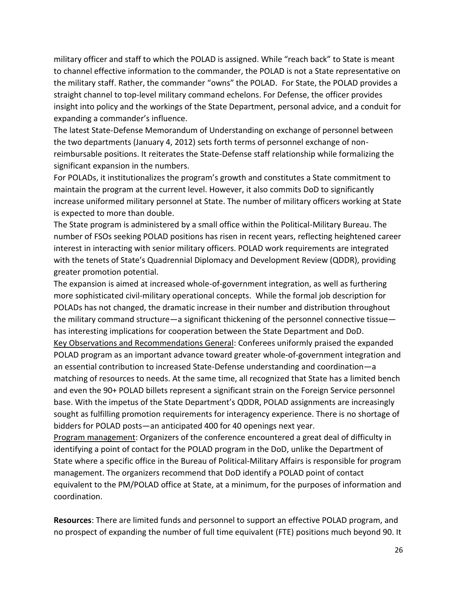military officer and staff to which the POLAD is assigned. While "reach back" to State is meant to channel effective information to the commander, the POLAD is not a State representative on the military staff. Rather, the commander "owns" the POLAD. For State, the POLAD provides a straight channel to top-level military command echelons. For Defense, the officer provides insight into policy and the workings of the State Department, personal advice, and a conduit for expanding a commander's influence.

The latest State-Defense Memorandum of Understanding on exchange of personnel between the two departments (January 4, 2012) sets forth terms of personnel exchange of nonreimbursable positions. It reiterates the State-Defense staff relationship while formalizing the significant expansion in the numbers.

For POLADs, it institutionalizes the program's growth and constitutes a State commitment to maintain the program at the current level. However, it also commits DoD to significantly increase uniformed military personnel at State. The number of military officers working at State is expected to more than double.

The State program is administered by a small office within the Political-Military Bureau. The number of FSOs seeking POLAD positions has risen in recent years, reflecting heightened career interest in interacting with senior military officers. POLAD work requirements are integrated with the tenets of State's Quadrennial Diplomacy and Development Review (QDDR), providing greater promotion potential.

The expansion is aimed at increased whole-of-government integration, as well as furthering more sophisticated civil-military operational concepts. While the formal job description for POLADs has not changed, the dramatic increase in their number and distribution throughout the military command structure—a significant thickening of the personnel connective tissue has interesting implications for cooperation between the State Department and DoD. Key Observations and Recommendations General: Conferees uniformly praised the expanded POLAD program as an important advance toward greater whole-of-government integration and an essential contribution to increased State-Defense understanding and coordination—a matching of resources to needs. At the same time, all recognized that State has a limited bench and even the 90+ POLAD billets represent a significant strain on the Foreign Service personnel base. With the impetus of the State Department's QDDR, POLAD assignments are increasingly sought as fulfilling promotion requirements for interagency experience. There is no shortage of bidders for POLAD posts—an anticipated 400 for 40 openings next year.

Program management: Organizers of the conference encountered a great deal of difficulty in identifying a point of contact for the POLAD program in the DoD, unlike the Department of State where a specific office in the Bureau of Political-Military Affairs is responsible for program management. The organizers recommend that DoD identify a POLAD point of contact equivalent to the PM/POLAD office at State, at a minimum, for the purposes of information and coordination.

**Resources**: There are limited funds and personnel to support an effective POLAD program, and no prospect of expanding the number of full time equivalent (FTE) positions much beyond 90. It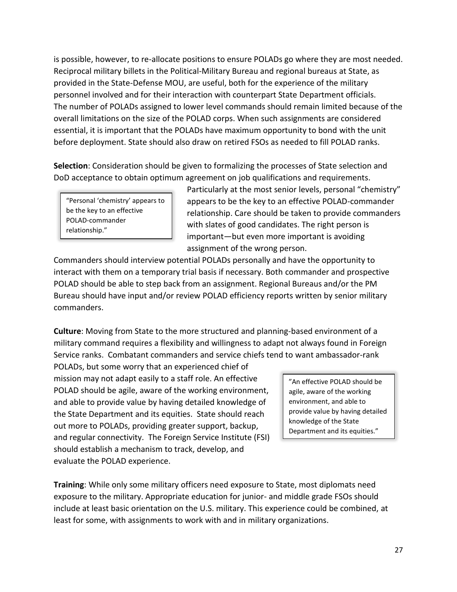is possible, however, to re-allocate positions to ensure POLADs go where they are most needed. Reciprocal military billets in the Political-Military Bureau and regional bureaus at State, as provided in the State-Defense MOU, are useful, both for the experience of the military personnel involved and for their interaction with counterpart State Department officials. The number of POLADs assigned to lower level commands should remain limited because of the overall limitations on the size of the POLAD corps. When such assignments are considered essential, it is important that the POLADs have maximum opportunity to bond with the unit before deployment. State should also draw on retired FSOs as needed to fill POLAD ranks.

**Selection**: Consideration should be given to formalizing the processes of State selection and DoD acceptance to obtain optimum agreement on job qualifications and requirements.

"Personal 'chemistry' appears to be the key to an effective POLAD-commander relationship."

Particularly at the most senior levels, personal "chemistry" appears to be the key to an effective POLAD-commander relationship. Care should be taken to provide commanders with slates of good candidates. The right person is important—but even more important is avoiding assignment of the wrong person.

Commanders should interview potential POLADs personally and have the opportunity to interact with them on a temporary trial basis if necessary. Both commander and prospective POLAD should be able to step back from an assignment. Regional Bureaus and/or the PM Bureau should have input and/or review POLAD efficiency reports written by senior military commanders.

**Culture**: Moving from State to the more structured and planning-based environment of a military command requires a flexibility and willingness to adapt not always found in Foreign Service ranks. Combatant commanders and service chiefs tend to want ambassador-rank

POLADs, but some worry that an experienced chief of mission may not adapt easily to a staff role. An effective POLAD should be agile, aware of the working environment, and able to provide value by having detailed knowledge of the State Department and its equities. State should reach out more to POLADs, providing greater support, backup, and regular connectivity. The Foreign Service Institute (FSI) should establish a mechanism to track, develop, and evaluate the POLAD experience.

"An effective POLAD should be agile, aware of the working environment, and able to provide value by having detailed knowledge of the State Department and its equities."

**Training**: While only some military officers need exposure to State, most diplomats need exposure to the military. Appropriate education for junior- and middle grade FSOs should include at least basic orientation on the U.S. military. This experience could be combined, at least for some, with assignments to work with and in military organizations.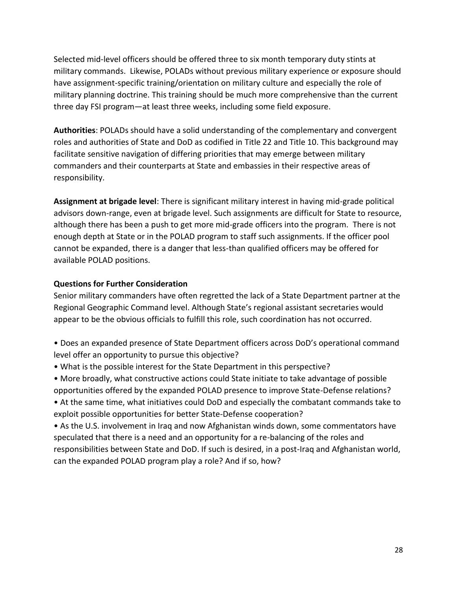Selected mid-level officers should be offered three to six month temporary duty stints at military commands. Likewise, POLADs without previous military experience or exposure should have assignment-specific training/orientation on military culture and especially the role of military planning doctrine. This training should be much more comprehensive than the current three day FSI program—at least three weeks, including some field exposure.

**Authorities**: POLADs should have a solid understanding of the complementary and convergent roles and authorities of State and DoD as codified in Title 22 and Title 10. This background may facilitate sensitive navigation of differing priorities that may emerge between military commanders and their counterparts at State and embassies in their respective areas of responsibility.

**Assignment at brigade level**: There is significant military interest in having mid-grade political advisors down-range, even at brigade level. Such assignments are difficult for State to resource, although there has been a push to get more mid-grade officers into the program. There is not enough depth at State or in the POLAD program to staff such assignments. If the officer pool cannot be expanded, there is a danger that less-than qualified officers may be offered for available POLAD positions.

#### **Questions for Further Consideration**

Senior military commanders have often regretted the lack of a State Department partner at the Regional Geographic Command level. Although State's regional assistant secretaries would appear to be the obvious officials to fulfill this role, such coordination has not occurred.

- Does an expanded presence of State Department officers across DoD's operational command level offer an opportunity to pursue this objective?
- What is the possible interest for the State Department in this perspective?
- More broadly, what constructive actions could State initiate to take advantage of possible opportunities offered by the expanded POLAD presence to improve State-Defense relations?

• At the same time, what initiatives could DoD and especially the combatant commands take to exploit possible opportunities for better State-Defense cooperation?

• As the U.S. involvement in Iraq and now Afghanistan winds down, some commentators have speculated that there is a need and an opportunity for a re-balancing of the roles and responsibilities between State and DoD. If such is desired, in a post-Iraq and Afghanistan world, can the expanded POLAD program play a role? And if so, how?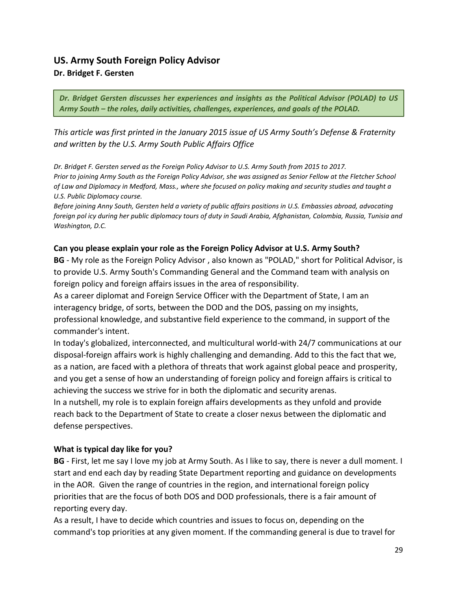# **US. Army South Foreign Policy Advisor Dr. Bridget F. Gersten**

*Dr. Bridget Gersten discusses her experiences and insights as the Political Advisor (POLAD) to US Army South – the roles, daily activities, challenges, experiences, and goals of the POLAD.*

*This article was first printed in the January 2015 issue of US Army South's Defense & Fraternity and written by the U.S. Army South Public Affairs Office* 

*Dr. Bridget F. Gersten served as the Foreign Policy Advisor to U.S. Army South from 2015 to 2017. Prior to joining Army South as the Foreign Policy Advisor, she was assigned as Senior Fellow at the Fletcher School of Law and Diplomacy in Medford, Mass., where she focused on policy making and security studies and taught a U.S. Public Diplomacy course.* 

*Before joining Anny South, Gersten held a variety of public affairs positions in U.S. Embassies abroad, advocating foreign pol icy during her public diplomacy tours of duty in Saudi Arabia, Afghanistan, Colombia, Russia, Tunisia and Washington, D.C.* 

#### **Can you please explain your role as the Foreign Policy Advisor at U.S. Army South?**

**BG** - My role as the Foreign Policy Advisor , also known as "POLAD," short for Political Advisor, is to provide U.S. Army South's Commanding General and the Command team with analysis on foreign policy and foreign affairs issues in the area of responsibility.

As a career diplomat and Foreign Service Officer with the Department of State, I am an interagency bridge, of sorts, between the DOD and the DOS, passing on my insights, professional knowledge, and substantive field experience to the command, in support of the commander's intent.

In today's globalized, interconnected, and multicultural world-with 24/7 communications at our disposal-foreign affairs work is highly challenging and demanding. Add to this the fact that we, as a nation, are faced with a plethora of threats that work against global peace and prosperity, and you get a sense of how an understanding of foreign policy and foreign affairs is critical to achieving the success we strive for in both the diplomatic and security arenas.

In a nutshell, my role is to explain foreign affairs developments as they unfold and provide reach back to the Department of State to create a closer nexus between the diplomatic and defense perspectives.

#### **What is typical day like for you?**

**BG** - First, let me say I love my job at Army South. As I like to say, there is never a dull moment. I start and end each day by reading State Department reporting and guidance on developments in the AOR. Given the range of countries in the region, and international foreign policy priorities that are the focus of both DOS and DOD professionals, there is a fair amount of reporting every day.

As a result, I have to decide which countries and issues to focus on, depending on the command's top priorities at any given moment. If the commanding general is due to travel for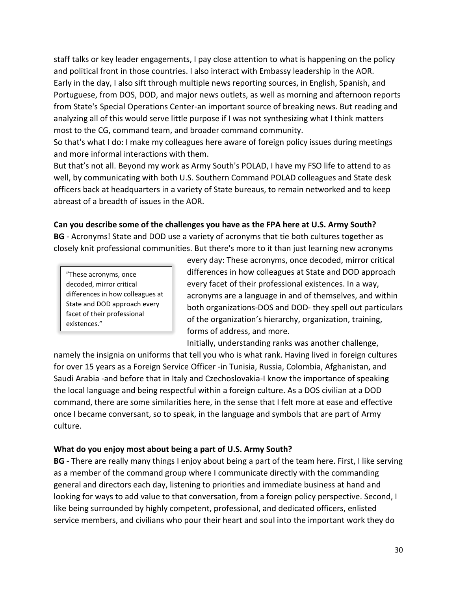staff talks or key leader engagements, I pay close attention to what is happening on the policy and political front in those countries. I also interact with Embassy leadership in the AOR. Early in the day, I also sift through multiple news reporting sources, in English, Spanish, and Portuguese, from DOS, DOD, and major news outlets, as well as morning and afternoon reports from State's Special Operations Center-an important source of breaking news. But reading and analyzing all of this would serve little purpose if I was not synthesizing what I think matters most to the CG, command team, and broader command community.

So that's what I do: I make my colleagues here aware of foreign policy issues during meetings and more informal interactions with them.

But that's not all. Beyond my work as Army South's POLAD, I have my FSO life to attend to as well, by communicating with both U.S. Southern Command POLAD colleagues and State desk officers back at headquarters in a variety of State bureaus, to remain networked and to keep abreast of a breadth of issues in the AOR.

## **Can you describe some of the challenges you have as the FPA here at U.S. Army South?**

**BG** - Acronyms! State and DOD use a variety of acronyms that tie both cultures together as closely knit professional communities. But there's more to it than just learning new acronyms

"These acronyms, once decoded, mirror critical differences in how colleagues at State and DOD approach every facet of their professional existences."

every day: These acronyms, once decoded, mirror critical differences in how colleagues at State and DOD approach every facet of their professional existences. In a way, acronyms are a language in and of themselves, and within both organizations-DOS and DOD- they spell out particulars of the organization's hierarchy, organization, training, forms of address, and more.

Initially, understanding ranks was another challenge,

namely the insignia on uniforms that tell you who is what rank. Having lived in foreign cultures for over 15 years as a Foreign Service Officer -in Tunisia, Russia, Colombia, Afghanistan, and Saudi Arabia -and before that in Italy and Czechoslovakia-I know the importance of speaking the local language and being respectful within a foreign culture. As a DOS civilian at a DOD command, there are some similarities here, in the sense that I felt more at ease and effective once I became conversant, so to speak, in the language and symbols that are part of Army culture.

# **What do you enjoy most about being a part of U.S. Army South?**

**BG** - There are really many things I enjoy about being a part of the team here. First, I like serving as a member of the command group where I communicate directly with the commanding general and directors each day, listening to priorities and immediate business at hand and looking for ways to add value to that conversation, from a foreign policy perspective. Second, I like being surrounded by highly competent, professional, and dedicated officers, enlisted service members, and civilians who pour their heart and soul into the important work they do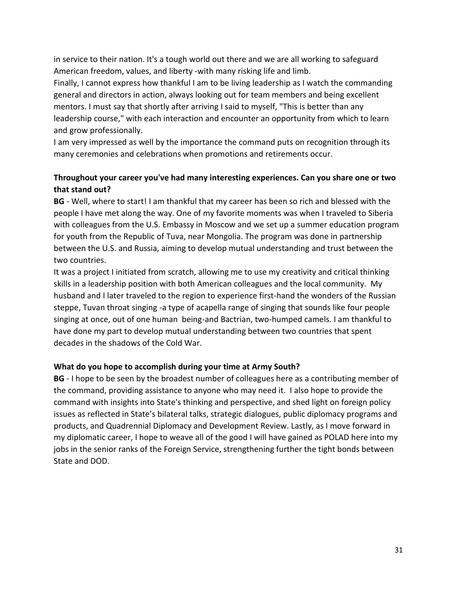in service to their nation. It's a tough world out there and we are all working to safeguard American freedom, values, and liberty -with many risking life and limb.

Finally, I cannot express how thankful I am to be living leadership as I watch the commanding general and directors in action, always looking out for team members and being excellent mentors. I must say that shortly after arriving I said to myself, "This is better than any leadership course," with each interaction and encounter an opportunity from which to learn and grow professionally.

I am very impressed as well by the importance the command puts on recognition through its many ceremonies and celebrations when promotions and retirements occur.

# **Throughout your career you've had many interesting experiences. Can you share one or two that stand out?**

**BG** - Well, where to start! I am thankful that my career has been so rich and blessed with the people I have met along the way. One of my favorite moments was when I traveled to Siberia with colleagues from the U.S. Embassy in Moscow and we set up a summer education program for youth from the Republic of Tuva, near Mongolia. The program was done in partnership between the U.S. and Russia, aiming to develop mutual understanding and trust between the two countries.

It was a project I initiated from scratch, allowing me to use my creativity and critical thinking skills in a leadership position with both American colleagues and the local community. My husband and I later traveled to the region to experience first-hand the wonders of the Russian steppe, Tuvan throat singing -a type of acapella range of singing that sounds like four people singing at once, out of one human being-and Bactrian, two-humped camels. I am thankful to have done my part to develop mutual understanding between two countries that spent decades in the shadows of the Cold War.

## **What do you hope to accomplish during your time at Army South?**

**BG** - I hope to be seen by the broadest number of colleagues here as a contributing member of the command, providing assistance to anyone who may need it. I also hope to provide the command with insights into State's thinking and perspective, and shed light on foreign policy issues as reflected in State's bilateral talks, strategic dialogues, public diplomacy programs and products, and Quadrennial Diplomacy and Development Review. Lastly, as I move forward in my diplomatic career, I hope to weave all of the good I will have gained as POLAD here into my jobs in the senior ranks of the Foreign Service, strengthening further the tight bonds between State and DOD.